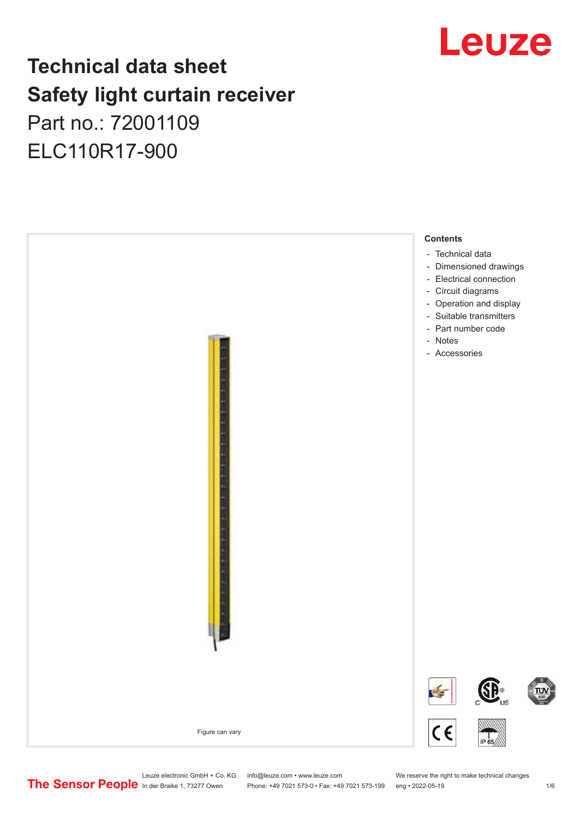## Leuze

## **Technical data sheet Safety light curtain receiver** Part no.: 72001109 ELC110R17-900



Leuze electronic GmbH + Co. KG info@leuze.com • www.leuze.com We reserve the right to make technical changes<br>
The Sensor People in der Braike 1, 73277 Owen Phone: +49 7021 573-0 • Fax: +49 7021 573-199 eng • 2022-05-19

Phone: +49 7021 573-0 • Fax: +49 7021 573-199 eng • 2022-05-19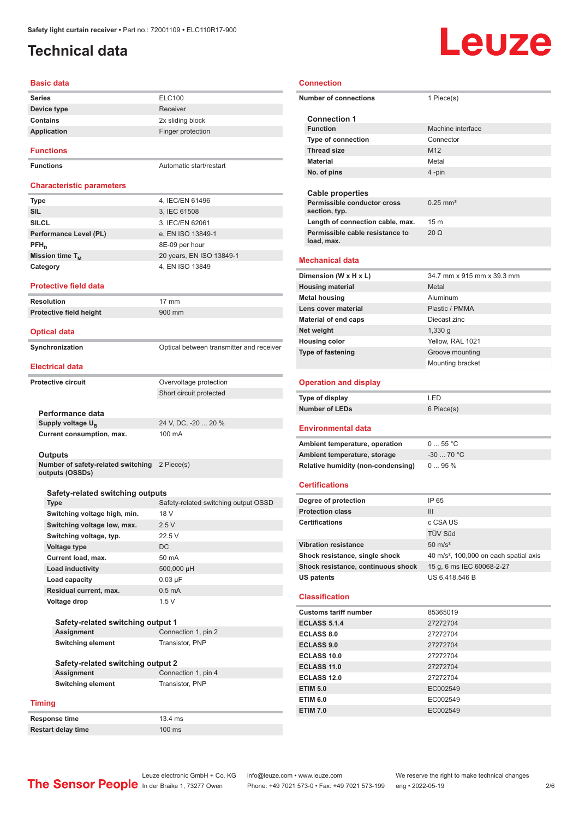## <span id="page-1-0"></span>**Technical data**

### **Basic data**

| <b>Series</b>   | <b>ELC100</b>     |
|-----------------|-------------------|
| Device type     | Receiver          |
| <b>Contains</b> | 2x sliding block  |
| Application     | Finger protection |
|                 |                   |

#### **Functions**

**Functions Automatic start/restart** 

#### **Characteristic parameters**

| <b>Type</b>            | 4, IEC/EN 61496          |
|------------------------|--------------------------|
| <b>SIL</b>             | 3, IEC 61508             |
| <b>SILCL</b>           | 3, IEC/EN 62061          |
| Performance Level (PL) | e, EN ISO 13849-1        |
| $PFH_n$                | 8E-09 per hour           |
| Mission time $T_M$     | 20 years, EN ISO 13849-1 |
| Category               | 4, EN ISO 13849          |
|                        |                          |

#### **Protective field data**

| Resolution              | $17 \text{ mm}$ |
|-------------------------|-----------------|
| Protective field height | $900$ mm        |

#### **Optical data**

**Synchronization Synchronization Optical between transmitter and receiver** 

#### **Electrical data**

| Protective circuit            | Overvoltage protection  |
|-------------------------------|-------------------------|
|                               | Short circuit protected |
|                               |                         |
| Performance data              |                         |
| Supply voltage U <sub>p</sub> | 24 V. DC. -20  20 %     |
| Current consumption, max.     | $100 \text{ mA}$        |

#### **Outputs**

**Number of safety-related switching outputs (OSSDs)** 2 Piece(s)

### **Safety-related switching outputs**

| <b>Type</b>                  | Safety-related switching output OSSD |
|------------------------------|--------------------------------------|
| Switching voltage high, min. | 18 V                                 |
| Switching voltage low, max.  | 2.5V                                 |
| Switching voltage, typ.      | 22.5V                                |
| Voltage type                 | <b>DC</b>                            |
| Current load, max.           | 50 mA                                |
| Load inductivity             | 500,000 µH                           |
| Load capacity                | $0.03 \mu F$                         |
| Residual current, max.       | $0.5 \text{ mA}$                     |
| Voltage drop                 | 1.5V                                 |

| Safety-related switching output 1        |                     |  |  |
|------------------------------------------|---------------------|--|--|
| <b>Assignment</b><br>Connection 1, pin 2 |                     |  |  |
| <b>Switching element</b>                 | Transistor, PNP     |  |  |
| Safety-related switching output 2        |                     |  |  |
| <b>Assignment</b>                        | Connection 1, pin 4 |  |  |

**Switching element** Transistor, PNP

#### **Timing**

**Response time** 13.4 ms<br>**Restart delay time** 100 ms **Restart delay time** 

**Connection**

| <b>Connection</b>                             |                                                    |  |  |  |
|-----------------------------------------------|----------------------------------------------------|--|--|--|
| <b>Number of connections</b>                  | 1 Piece(s)                                         |  |  |  |
| <b>Connection 1</b>                           |                                                    |  |  |  |
| <b>Function</b>                               | Machine interface                                  |  |  |  |
| <b>Type of connection</b>                     | Connector                                          |  |  |  |
| <b>Thread size</b>                            | M <sub>12</sub>                                    |  |  |  |
| <b>Material</b>                               | Metal                                              |  |  |  |
| No. of pins                                   | 4-pin                                              |  |  |  |
|                                               |                                                    |  |  |  |
| <b>Cable properties</b>                       |                                                    |  |  |  |
| Permissible conductor cross                   | $0.25$ mm <sup>2</sup>                             |  |  |  |
| section, typ.                                 |                                                    |  |  |  |
| Length of connection cable, max.              | 15 m                                               |  |  |  |
| Permissible cable resistance to<br>load, max. | $20 \Omega$                                        |  |  |  |
| <b>Mechanical data</b>                        |                                                    |  |  |  |
|                                               |                                                    |  |  |  |
| Dimension (W x H x L)                         | 34.7 mm x 915 mm x 39.3 mm                         |  |  |  |
| <b>Housing material</b>                       | Metal                                              |  |  |  |
| <b>Metal housing</b>                          | Aluminum                                           |  |  |  |
| Lens cover material                           | Plastic / PMMA                                     |  |  |  |
| Material of end caps                          | Diecast zinc                                       |  |  |  |
| Net weight                                    | $1,330$ g                                          |  |  |  |
| <b>Housing color</b>                          | Yellow. RAL 1021                                   |  |  |  |
| <b>Type of fastening</b>                      | Groove mounting                                    |  |  |  |
|                                               | Mounting bracket                                   |  |  |  |
|                                               |                                                    |  |  |  |
| <b>Operation and display</b>                  |                                                    |  |  |  |
| Type of display                               | LED                                                |  |  |  |
| <b>Number of LEDs</b>                         | 6 Piece(s)                                         |  |  |  |
| <b>Environmental data</b>                     |                                                    |  |  |  |
| Ambient temperature, operation                | 055 °C                                             |  |  |  |
| Ambient temperature, storage                  | $-30$ 70 °C                                        |  |  |  |
| Relative humidity (non-condensing)            | 095%                                               |  |  |  |
|                                               |                                                    |  |  |  |
| <b>Certifications</b>                         |                                                    |  |  |  |
| Degree of protection                          | IP 65                                              |  |  |  |
| <b>Protection class</b>                       | III                                                |  |  |  |
| <b>Certifications</b>                         | c CSA US                                           |  |  |  |
|                                               | TÜV Süd                                            |  |  |  |
| <b>Vibration resistance</b>                   | $50 \text{ m/s}^2$                                 |  |  |  |
| Shock resistance, single shock                | 40 m/s <sup>2</sup> , 100,000 on each spatial axis |  |  |  |
| Shock resistance, continuous shock            | 15 g, 6 ms IEC 60068-2-27                          |  |  |  |
| <b>US patents</b>                             | US 6,418,546 B                                     |  |  |  |
| <b>Classification</b>                         |                                                    |  |  |  |
| <b>Customs tariff number</b>                  | 85365019                                           |  |  |  |
| <b>ECLASS 5.1.4</b>                           | 27272704                                           |  |  |  |
| <b>ECLASS 8.0</b>                             | 27272704                                           |  |  |  |
| <b>ECLASS 9.0</b>                             | 27272704                                           |  |  |  |
| <b>ECLASS 10.0</b>                            | 27272704                                           |  |  |  |
| <b>ECLASS 11.0</b>                            | 27272704                                           |  |  |  |
| <b>ECLASS 12.0</b>                            | 27272704                                           |  |  |  |
| <b>ETIM 5.0</b>                               | EC002549                                           |  |  |  |
| <b>ETIM 6.0</b>                               | EC002549                                           |  |  |  |
| <b>ETIM 7.0</b>                               |                                                    |  |  |  |
|                                               |                                                    |  |  |  |
|                                               | EC002549                                           |  |  |  |



# Leuze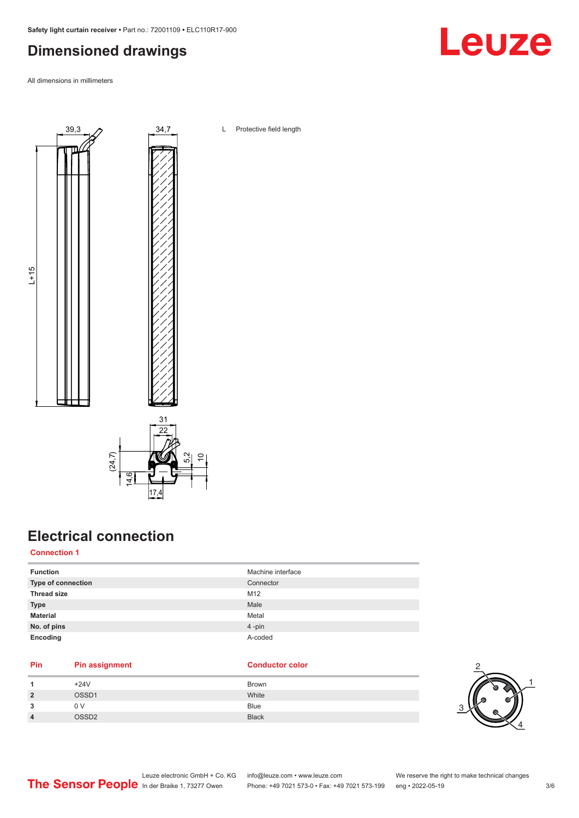## <span id="page-2-0"></span>**Dimensioned drawings**

All dimensions in millimeters



## **Electrical connection**

17.4

**Connection 1**

| <b>Function</b>    | Machine interface |
|--------------------|-------------------|
| Type of connection | Connector         |
| <b>Thread size</b> | M12               |
| <b>Type</b>        | Male              |
| <b>Material</b>    | Metal             |
| No. of pins        | 4-pin             |
| Encoding           | A-coded           |

### **Pin Pin assignment Conductor Conductor Color**

|                | $+24V$       | <b>Brown</b> |
|----------------|--------------|--------------|
| $\overline{2}$ | OSSD1        | White        |
| 3              | 0 V          | Blue         |
| $\overline{4}$ | <b>OSSD2</b> | <b>Black</b> |





Leuze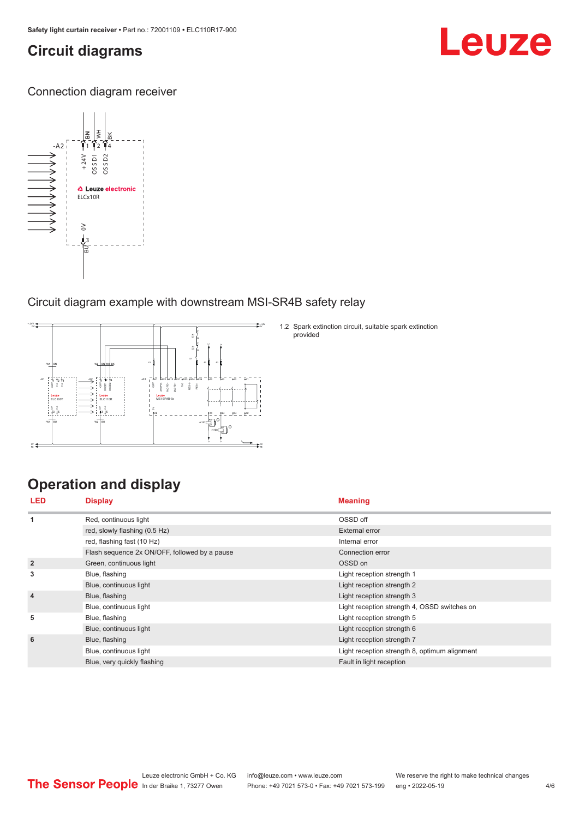## <span id="page-3-0"></span>**Circuit diagrams**

## Leuze

Connection diagram receiver



### Circuit diagram example with downstream MSI-SR4B safety relay



## **Operation and display**

| <b>LED</b>     | <b>Display</b>                                | <b>Meaning</b>                                |  |
|----------------|-----------------------------------------------|-----------------------------------------------|--|
| 1              | Red, continuous light                         | OSSD off                                      |  |
|                | red, slowly flashing (0.5 Hz)                 | External error                                |  |
|                | red, flashing fast (10 Hz)                    | Internal error                                |  |
|                | Flash sequence 2x ON/OFF, followed by a pause | Connection error                              |  |
| $\overline{2}$ | Green, continuous light                       | OSSD on                                       |  |
| 3              | Blue, flashing                                | Light reception strength 1                    |  |
|                | Blue, continuous light                        | Light reception strength 2                    |  |
| $\overline{4}$ | Blue, flashing                                | Light reception strength 3                    |  |
|                | Blue, continuous light                        | Light reception strength 4, OSSD switches on  |  |
| 5              | Blue, flashing                                | Light reception strength 5                    |  |
|                | Blue, continuous light                        | Light reception strength 6                    |  |
| 6              | Blue, flashing                                | Light reception strength 7                    |  |
|                | Blue, continuous light                        | Light reception strength 8, optimum alignment |  |
|                | Blue, very quickly flashing                   | Fault in light reception                      |  |

1.2 Spark extinction circuit, suitable spark extinction

provided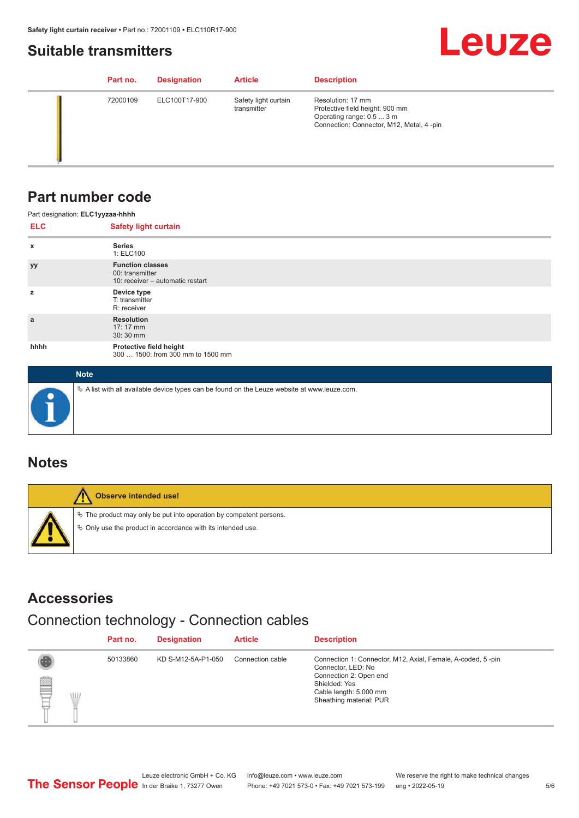## <span id="page-4-0"></span>**Suitable transmitters**



| Part no. | <b>Designation</b> | <b>Article</b>                      | <b>Description</b>                                                                                                            |
|----------|--------------------|-------------------------------------|-------------------------------------------------------------------------------------------------------------------------------|
| 72000109 | ELC100T17-900      | Safety light curtain<br>transmitter | Resolution: 17 mm<br>Protective field height: 900 mm<br>Operating range: 0.5  3 m<br>Connection: Connector, M12, Metal, 4-pin |

## **Part number code**

| Part designation: ELC1yyzaa-hhhh |                                                                                |  |
|----------------------------------|--------------------------------------------------------------------------------|--|
| <b>ELC</b>                       | <b>Safety light curtain</b>                                                    |  |
| X                                | <b>Series</b><br>1: ELC100                                                     |  |
| <b>yy</b>                        | <b>Function classes</b><br>00: transmitter<br>10: receiver - automatic restart |  |
| z                                | Device type<br>T: transmitter<br>R: receiver                                   |  |
| a                                | <b>Resolution</b><br>$17:17 \, \text{mm}$<br>30:30 mm                          |  |
| hhhh                             | Protective field height<br>300  1500: from 300 mm to 1500 mm                   |  |

| <b>Note</b>                                                                                  |
|----------------------------------------------------------------------------------------------|
| ∜ A list with all available device types can be found on the Leuze website at www.leuze.com. |

## **Notes**

| Observe intended use!                                                                                                                |
|--------------------------------------------------------------------------------------------------------------------------------------|
| $\&$ The product may only be put into operation by competent persons.<br>♦ Only use the product in accordance with its intended use. |

## **Accessories**

## Connection technology - Connection cables

|         | Part no. | <b>Designation</b> | <b>Article</b>   | <b>Description</b>                                                                                                                                                                |
|---------|----------|--------------------|------------------|-----------------------------------------------------------------------------------------------------------------------------------------------------------------------------------|
| §<br>WL | 50133860 | KD S-M12-5A-P1-050 | Connection cable | Connection 1: Connector, M12, Axial, Female, A-coded, 5-pin<br>Connector, LED: No<br>Connection 2: Open end<br>Shielded: Yes<br>Cable length: 5.000 mm<br>Sheathing material: PUR |